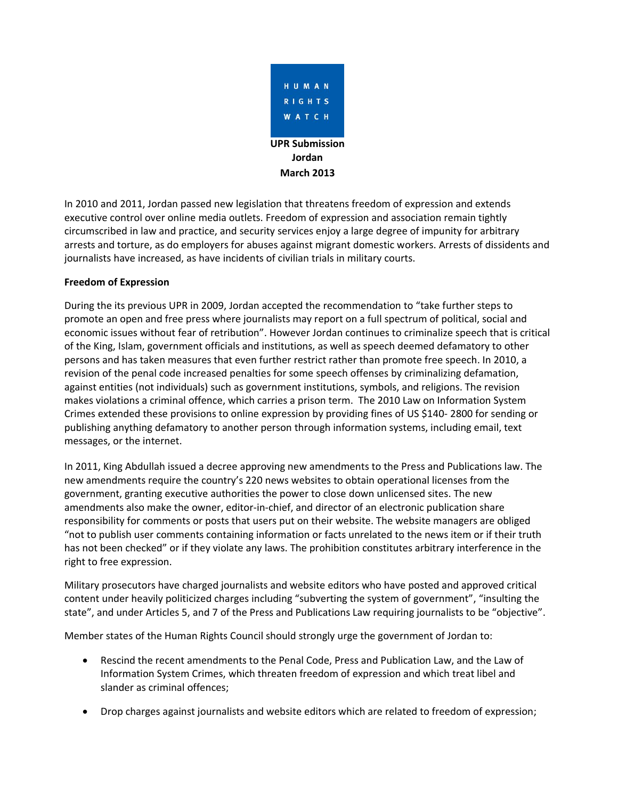

In 2010 and 2011, Jordan passed new legislation that threatens freedom of expression and extends executive control over online media outlets. Freedom of expression and association remain tightly circumscribed in law and practice, and security services enjoy a large degree of impunity for arbitrary arrests and torture, as do employers for abuses against migrant domestic workers. Arrests of dissidents and journalists have increased, as have incidents of civilian trials in military courts.

# **Freedom of Expression**

During the its previous UPR in 2009, Jordan accepted the recommendation to "take further steps to promote an open and free press where journalists may report on a full spectrum of political, social and economic issues without fear of retribution". However Jordan continues to criminalize speech that is critical of the King, Islam, government officials and institutions, as well as speech deemed defamatory to other persons and has taken measures that even further restrict rather than promote free speech. In 2010, a revision of the penal code increased penalties for some speech offenses by criminalizing defamation, against entities (not individuals) such as government institutions, symbols, and religions. The revision makes violations a criminal offence, which carries a prison term. The 2010 Law on Information System Crimes extended these provisions to online expression by providing fines of US \$140- 2800 for sending or publishing anything defamatory to another person through information systems, including email, text messages, or the internet.

In 2011, King Abdullah issued a decree approving new amendments to the Press and Publications law. The new amendments require the country's 220 news websites to obtain operational licenses from the government, granting executive authorities the power to close down unlicensed sites. The new amendments also make the owner, editor-in-chief, and director of an electronic publication share responsibility for comments or posts that users put on their website. The website managers are obliged "not to publish user comments containing information or facts unrelated to the news item or if their truth has not been checked" or if they violate any laws. The prohibition constitutes arbitrary interference in the right to free expression.

Military prosecutors have charged journalists and website editors who have posted and approved critical content under heavily politicized charges including "subverting the system of government", "insulting the state", and under Articles 5, and 7 of the Press and Publications Law requiring journalists to be "objective".

Member states of the Human Rights Council should strongly urge the government of Jordan to:

- Rescind the recent amendments to the Penal Code, Press and Publication Law, and the Law of Information System Crimes, which threaten freedom of expression and which treat libel and slander as criminal offences;
- Drop charges against journalists and website editors which are related to freedom of expression;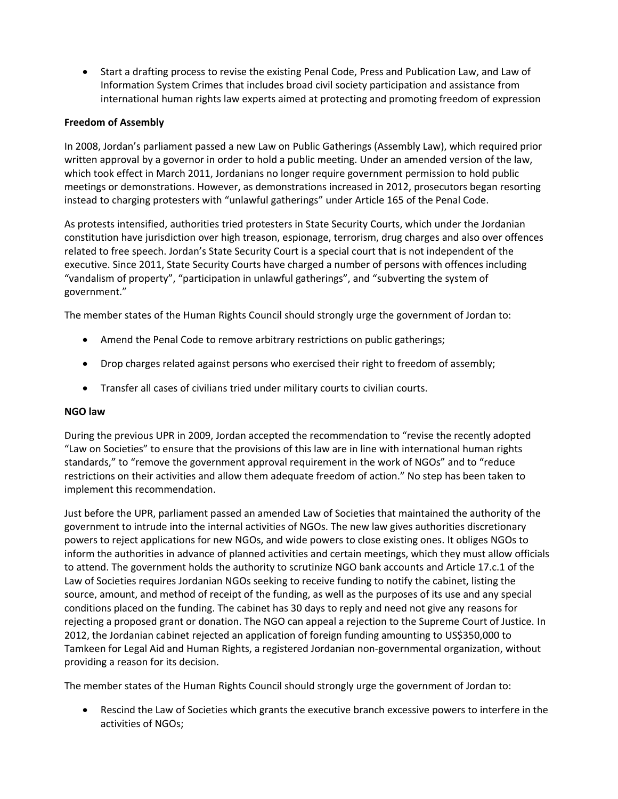Start a drafting process to revise the existing Penal Code, Press and Publication Law, and Law of Information System Crimes that includes broad civil society participation and assistance from international human rights law experts aimed at protecting and promoting freedom of expression

# **Freedom of Assembly**

In 2008, Jordan's parliament passed a new Law on Public Gatherings (Assembly Law), which required prior written approval by a governor in order to hold a public meeting. Under an amended version of the law, which took effect in March 2011, Jordanians no longer require government permission to hold public meetings or demonstrations. However, as demonstrations increased in 2012, prosecutors began resorting instead to charging protesters with "unlawful gatherings" under Article 165 of the Penal Code.

As protests intensified, authorities tried protesters in State Security Courts, which under the Jordanian constitution have jurisdiction over high treason, espionage, terrorism, drug charges and also over offences related to free speech. Jordan's State Security Court is a special court that is not independent of the executive. Since 2011, State Security Courts have charged a number of persons with offences including "vandalism of property", "participation in unlawful gatherings", and "subverting the system of government."

The member states of the Human Rights Council should strongly urge the government of Jordan to:

- Amend the Penal Code to remove arbitrary restrictions on public gatherings;
- Drop charges related against persons who exercised their right to freedom of assembly;
- Transfer all cases of civilians tried under military courts to civilian courts.

## **NGO law**

During the previous UPR in 2009, Jordan accepted the recommendation to "revise the recently adopted "Law on Societies" to ensure that the provisions of this law are in line with international human rights standards," to "remove the government approval requirement in the work of NGOs" and to "reduce restrictions on their activities and allow them adequate freedom of action." No step has been taken to implement this recommendation.

Just before the UPR, parliament passed an amended Law of Societies that maintained the authority of the government to intrude into the internal activities of NGOs. The new law gives authorities discretionary powers to reject applications for new NGOs, and wide powers to close existing ones. It obliges NGOs to inform the authorities in advance of planned activities and certain meetings, which they must allow officials to attend. The government holds the authority to scrutinize NGO bank accounts and Article 17.c.1 of the Law of Societies requires Jordanian NGOs seeking to receive funding to notify the cabinet, listing the source, amount, and method of receipt of the funding, as well as the purposes of its use and any special conditions placed on the funding. The cabinet has 30 days to reply and need not give any reasons for rejecting a proposed grant or donation. The NGO can appeal a rejection to the Supreme Court of Justice. In 2012, the Jordanian cabinet rejected an application of foreign funding amounting to US\$350,000 to Tamkeen for Legal Aid and Human Rights, a registered Jordanian non-governmental organization, without providing a reason for its decision.

The member states of the Human Rights Council should strongly urge the government of Jordan to:

 Rescind the Law of Societies which grants the executive branch excessive powers to interfere in the activities of NGOs;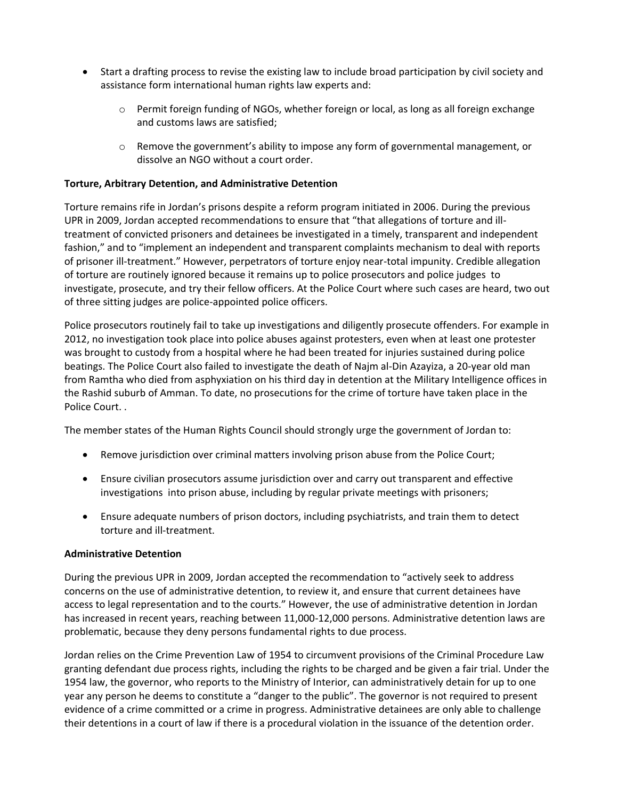- Start a drafting process to revise the existing law to include broad participation by civil society and assistance form international human rights law experts and:
	- $\circ$  Permit foreign funding of NGOs, whether foreign or local, as long as all foreign exchange and customs laws are satisfied;
	- $\circ$  Remove the government's ability to impose any form of governmental management, or dissolve an NGO without a court order.

### **Torture, Arbitrary Detention, and Administrative Detention**

Torture remains rife in Jordan's prisons despite a reform program initiated in 2006. During the previous UPR in 2009, Jordan accepted recommendations to ensure that "that allegations of torture and illtreatment of convicted prisoners and detainees be investigated in a timely, transparent and independent fashion," and to "implement an independent and transparent complaints mechanism to deal with reports of prisoner ill-treatment." However, perpetrators of torture enjoy near-total impunity. Credible allegation of torture are routinely ignored because it remains up to police prosecutors and police judges to investigate, prosecute, and try their fellow officers. At the Police Court where such cases are heard, two out of three sitting judges are police-appointed police officers.

Police prosecutors routinely fail to take up investigations and diligently prosecute offenders. For example in 2012, no investigation took place into police abuses against protesters, even when at least one protester was brought to custody from a hospital where he had been treated for injuries sustained during police beatings. The Police Court also failed to investigate the death of Najm al-Din Azayiza, a 20-year old man from Ramtha who died from asphyxiation on his third day in detention at the Military Intelligence offices in the Rashid suburb of Amman. To date, no prosecutions for the crime of torture have taken place in the Police Court. .

The member states of the Human Rights Council should strongly urge the government of Jordan to:

- Remove jurisdiction over criminal matters involving prison abuse from the Police Court;
- Ensure civilian prosecutors assume jurisdiction over and carry out transparent and effective investigations into prison abuse, including by regular private meetings with prisoners;
- Ensure adequate numbers of prison doctors, including psychiatrists, and train them to detect torture and ill-treatment.

#### **Administrative Detention**

During the previous UPR in 2009, Jordan accepted the recommendation to "actively seek to address concerns on the use of administrative detention, to review it, and ensure that current detainees have access to legal representation and to the courts." However, the use of administrative detention in Jordan has increased in recent years, reaching between 11,000-12,000 persons. Administrative detention laws are problematic, because they deny persons fundamental rights to due process.

Jordan relies on the Crime Prevention Law of 1954 to circumvent provisions of the Criminal Procedure Law granting defendant due process rights, including the rights to be charged and be given a fair trial. Under the 1954 law, the governor, who reports to the Ministry of Interior, can administratively detain for up to one year any person he deems to constitute a "danger to the public". The governor is not required to present evidence of a crime committed or a crime in progress. Administrative detainees are only able to challenge their detentions in a court of law if there is a procedural violation in the issuance of the detention order.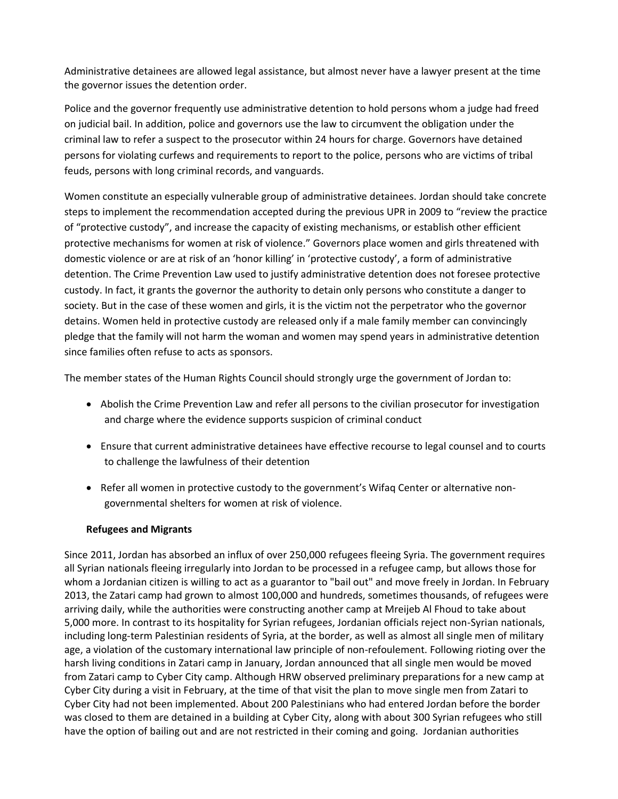Administrative detainees are allowed legal assistance, but almost never have a lawyer present at the time the governor issues the detention order.

Police and the governor frequently use administrative detention to hold persons whom a judge had freed on judicial bail. In addition, police and governors use the law to circumvent the obligation under the criminal law to refer a suspect to the prosecutor within 24 hours for charge. Governors have detained persons for violating curfews and requirements to report to the police, persons who are victims of tribal feuds, persons with long criminal records, and vanguards.

Women constitute an especially vulnerable group of administrative detainees. Jordan should take concrete steps to implement the recommendation accepted during the previous UPR in 2009 to "review the practice of "protective custody", and increase the capacity of existing mechanisms, or establish other efficient protective mechanisms for women at risk of violence." Governors place women and girls threatened with domestic violence or are at risk of an 'honor killing' in 'protective custody', a form of administrative detention. The Crime Prevention Law used to justify administrative detention does not foresee protective custody. In fact, it grants the governor the authority to detain only persons who constitute a danger to society. But in the case of these women and girls, it is the victim not the perpetrator who the governor detains. Women held in protective custody are released only if a male family member can convincingly pledge that the family will not harm the woman and women may spend years in administrative detention since families often refuse to acts as sponsors.

The member states of the Human Rights Council should strongly urge the government of Jordan to:

- Abolish the Crime Prevention Law and refer all persons to the civilian prosecutor for investigation and charge where the evidence supports suspicion of criminal conduct
- Ensure that current administrative detainees have effective recourse to legal counsel and to courts to challenge the lawfulness of their detention
- Refer all women in protective custody to the government's Wifaq Center or alternative nongovernmental shelters for women at risk of violence.

## **Refugees and Migrants**

Since 2011, Jordan has absorbed an influx of over 250,000 refugees fleeing Syria. The government requires all Syrian nationals fleeing irregularly into Jordan to be processed in a refugee camp, but allows those for whom a Jordanian citizen is willing to act as a guarantor to "bail out" and move freely in Jordan. In February 2013, the Zatari camp had grown to almost 100,000 and hundreds, sometimes thousands, of refugees were arriving daily, while the authorities were constructing another camp at Mreijeb Al Fhoud to take about 5,000 more. In contrast to its hospitality for Syrian refugees, Jordanian officials reject non-Syrian nationals, including long-term Palestinian residents of Syria, at the border, as well as almost all single men of military age, a violation of the customary international law principle of non-refoulement. Following rioting over the harsh living conditions in Zatari camp in January, Jordan announced that all single men would be moved from Zatari camp to Cyber City camp. Although HRW observed preliminary preparations for a new camp at Cyber City during a visit in February, at the time of that visit the plan to move single men from Zatari to Cyber City had not been implemented. About 200 Palestinians who had entered Jordan before the border was closed to them are detained in a building at Cyber City, along with about 300 Syrian refugees who still have the option of bailing out and are not restricted in their coming and going. Jordanian authorities